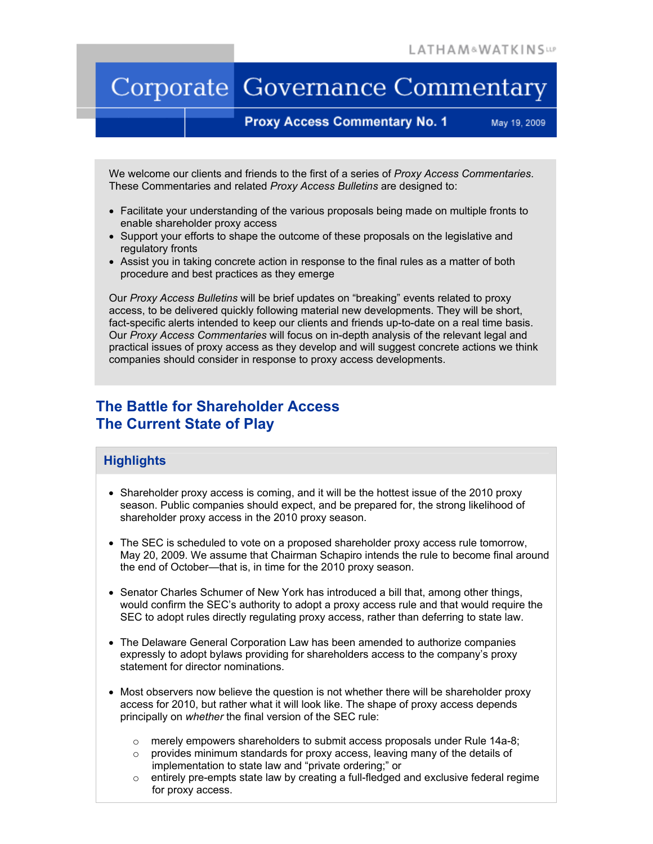# Corporate Governance Commentary

## **Proxy Access Commentary No. 1**

May 19, 2009

We welcome our clients and friends to the first of a series of *Proxy Access Commentaries*. These Commentaries and related *Proxy Access Bulletins* are designed to:

- Facilitate your understanding of the various proposals being made on multiple fronts to enable shareholder proxy access
- Support your efforts to shape the outcome of these proposals on the legislative and regulatory fronts
- Assist you in taking concrete action in response to the final rules as a matter of both procedure and best practices as they emerge

Our *Proxy Access Bulletins* will be brief updates on "breaking" events related to proxy access, to be delivered quickly following material new developments. They will be short, fact-specific alerts intended to keep our clients and friends up-to-date on a real time basis. Our *Proxy Access Commentaries* will focus on in-depth analysis of the relevant legal and practical issues of proxy access as they develop and will suggest concrete actions we think companies should consider in response to proxy access developments.

## **The Battle for Shareholder Access The Current State of Play**

## **Highlights**

- Shareholder proxy access is coming, and it will be the hottest issue of the 2010 proxy season. Public companies should expect, and be prepared for, the strong likelihood of shareholder proxy access in the 2010 proxy season.
- The SEC is scheduled to vote on a proposed shareholder proxy access rule tomorrow, May 20, 2009. We assume that Chairman Schapiro intends the rule to become final around the end of October—that is, in time for the 2010 proxy season.
- Senator Charles Schumer of New York has introduced a bill that, among other things, would confirm the SEC's authority to adopt a proxy access rule and that would require the SEC to adopt rules directly regulating proxy access, rather than deferring to state law.
- The Delaware General Corporation Law has been amended to authorize companies expressly to adopt bylaws providing for shareholders access to the company's proxy statement for director nominations.
- Most observers now believe the question is not whether there will be shareholder proxy access for 2010, but rather what it will look like. The shape of proxy access depends principally on *whether* the final version of the SEC rule:
	- $\circ$  merely empowers shareholders to submit access proposals under Rule 14a-8;
	- $\circ$  provides minimum standards for proxy access, leaving many of the details of implementation to state law and "private ordering;" or
	- $\circ$  entirely pre-empts state law by creating a full-fledged and exclusive federal regime for proxy access.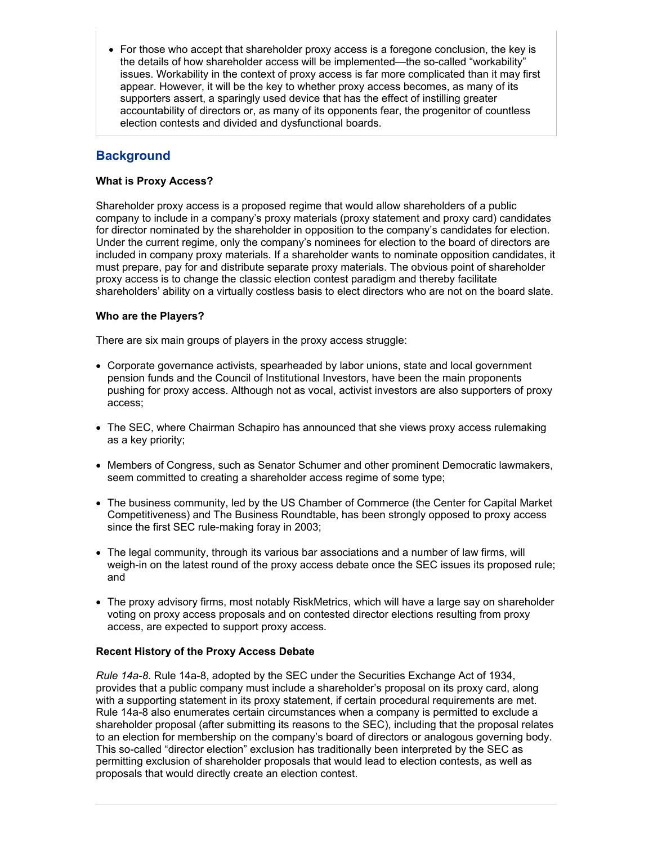• For those who accept that shareholder proxy access is a foregone conclusion, the key is the details of how shareholder access will be implemented—the so-called "workability" issues. Workability in the context of proxy access is far more complicated than it may first appear. However, it will be the key to whether proxy access becomes, as many of its supporters assert, a sparingly used device that has the effect of instilling greater accountability of directors or, as many of its opponents fear, the progenitor of countless election contests and divided and dysfunctional boards.

## **Background**

#### **What is Proxy Access?**

Shareholder proxy access is a proposed regime that would allow shareholders of a public company to include in a company's proxy materials (proxy statement and proxy card) candidates for director nominated by the shareholder in opposition to the company's candidates for election. Under the current regime, only the company's nominees for election to the board of directors are included in company proxy materials. If a shareholder wants to nominate opposition candidates, it must prepare, pay for and distribute separate proxy materials. The obvious point of shareholder proxy access is to change the classic election contest paradigm and thereby facilitate shareholders' ability on a virtually costless basis to elect directors who are not on the board slate.

#### **Who are the Players?**

There are six main groups of players in the proxy access struggle:

- Corporate governance activists, spearheaded by labor unions, state and local government pension funds and the Council of Institutional Investors, have been the main proponents pushing for proxy access. Although not as vocal, activist investors are also supporters of proxy access;
- The SEC, where Chairman Schapiro has announced that she views proxy access rulemaking as a key priority;
- Members of Congress, such as Senator Schumer and other prominent Democratic lawmakers, seem committed to creating a shareholder access regime of some type;
- The business community, led by the US Chamber of Commerce (the Center for Capital Market Competitiveness) and The Business Roundtable, has been strongly opposed to proxy access since the first SEC rule-making foray in 2003;
- The legal community, through its various bar associations and a number of law firms, will weigh-in on the latest round of the proxy access debate once the SEC issues its proposed rule; and
- The proxy advisory firms, most notably RiskMetrics, which will have a large say on shareholder voting on proxy access proposals and on contested director elections resulting from proxy access, are expected to support proxy access.

#### **Recent History of the Proxy Access Debate**

*Rule 14a-8*. Rule 14a-8, adopted by the SEC under the Securities Exchange Act of 1934, provides that a public company must include a shareholder's proposal on its proxy card, along with a supporting statement in its proxy statement, if certain procedural requirements are met. Rule 14a-8 also enumerates certain circumstances when a company is permitted to exclude a shareholder proposal (after submitting its reasons to the SEC), including that the proposal relates to an election for membership on the company's board of directors or analogous governing body. This so-called "director election" exclusion has traditionally been interpreted by the SEC as permitting exclusion of shareholder proposals that would lead to election contests, as well as proposals that would directly create an election contest.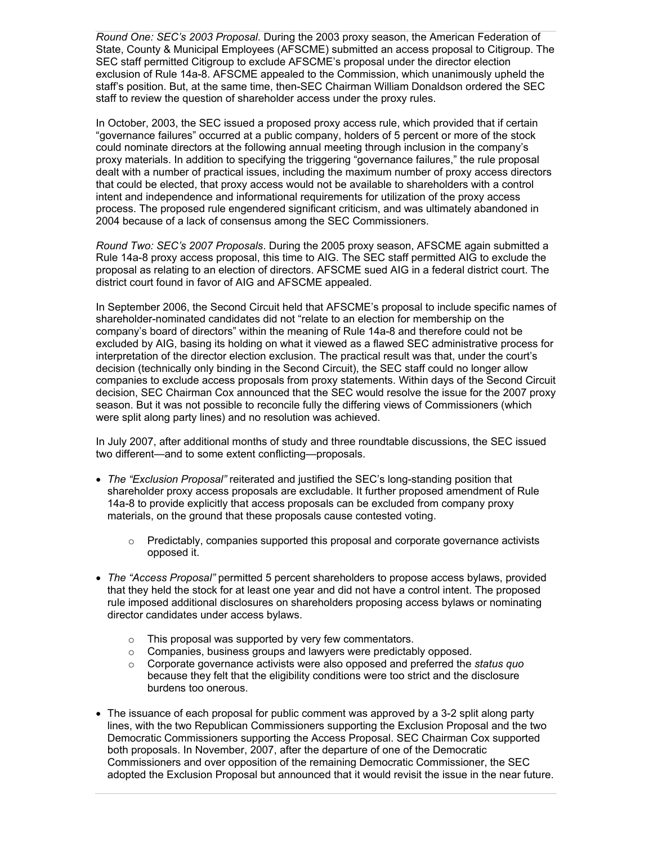*Round One: SEC's 2003 Proposal*. During the 2003 proxy season, the American Federation of State, County & Municipal Employees (AFSCME) submitted an access proposal to Citigroup. The SEC staff permitted Citigroup to exclude AFSCME's proposal under the director election exclusion of Rule 14a-8. AFSCME appealed to the Commission, which unanimously upheld the staff's position. But, at the same time, then-SEC Chairman William Donaldson ordered the SEC staff to review the question of shareholder access under the proxy rules.

In October, 2003, the SEC issued a proposed proxy access rule, which provided that if certain "governance failures" occurred at a public company, holders of 5 percent or more of the stock could nominate directors at the following annual meeting through inclusion in the company's proxy materials. In addition to specifying the triggering "governance failures," the rule proposal dealt with a number of practical issues, including the maximum number of proxy access directors that could be elected, that proxy access would not be available to shareholders with a control intent and independence and informational requirements for utilization of the proxy access process. The proposed rule engendered significant criticism, and was ultimately abandoned in 2004 because of a lack of consensus among the SEC Commissioners.

*Round Two: SEC's 2007 Proposals*. During the 2005 proxy season, AFSCME again submitted a Rule 14a-8 proxy access proposal, this time to AIG. The SEC staff permitted AIG to exclude the proposal as relating to an election of directors. AFSCME sued AIG in a federal district court. The district court found in favor of AIG and AFSCME appealed.

In September 2006, the Second Circuit held that AFSCME's proposal to include specific names of shareholder-nominated candidates did not "relate to an election for membership on the company's board of directors" within the meaning of Rule 14a-8 and therefore could not be excluded by AIG, basing its holding on what it viewed as a flawed SEC administrative process for interpretation of the director election exclusion. The practical result was that, under the court's decision (technically only binding in the Second Circuit), the SEC staff could no longer allow companies to exclude access proposals from proxy statements. Within days of the Second Circuit decision, SEC Chairman Cox announced that the SEC would resolve the issue for the 2007 proxy season. But it was not possible to reconcile fully the differing views of Commissioners (which were split along party lines) and no resolution was achieved.

In July 2007, after additional months of study and three roundtable discussions, the SEC issued two different—and to some extent conflicting—proposals.

- *The "Exclusion Proposal"* reiterated and justified the SEC's long-standing position that shareholder proxy access proposals are excludable. It further proposed amendment of Rule 14a-8 to provide explicitly that access proposals can be excluded from company proxy materials, on the ground that these proposals cause contested voting.
	- $\circ$  Predictably, companies supported this proposal and corporate governance activists opposed it.
- *The "Access Proposal"* permitted 5 percent shareholders to propose access bylaws, provided that they held the stock for at least one year and did not have a control intent. The proposed rule imposed additional disclosures on shareholders proposing access bylaws or nominating director candidates under access bylaws.
	- o This proposal was supported by very few commentators.
	- o Companies, business groups and lawyers were predictably opposed.
	- o Corporate governance activists were also opposed and preferred the *status quo* because they felt that the eligibility conditions were too strict and the disclosure burdens too onerous.
- The issuance of each proposal for public comment was approved by a 3-2 split along party lines, with the two Republican Commissioners supporting the Exclusion Proposal and the two Democratic Commissioners supporting the Access Proposal. SEC Chairman Cox supported both proposals. In November, 2007, after the departure of one of the Democratic Commissioners and over opposition of the remaining Democratic Commissioner, the SEC adopted the Exclusion Proposal but announced that it would revisit the issue in the near future.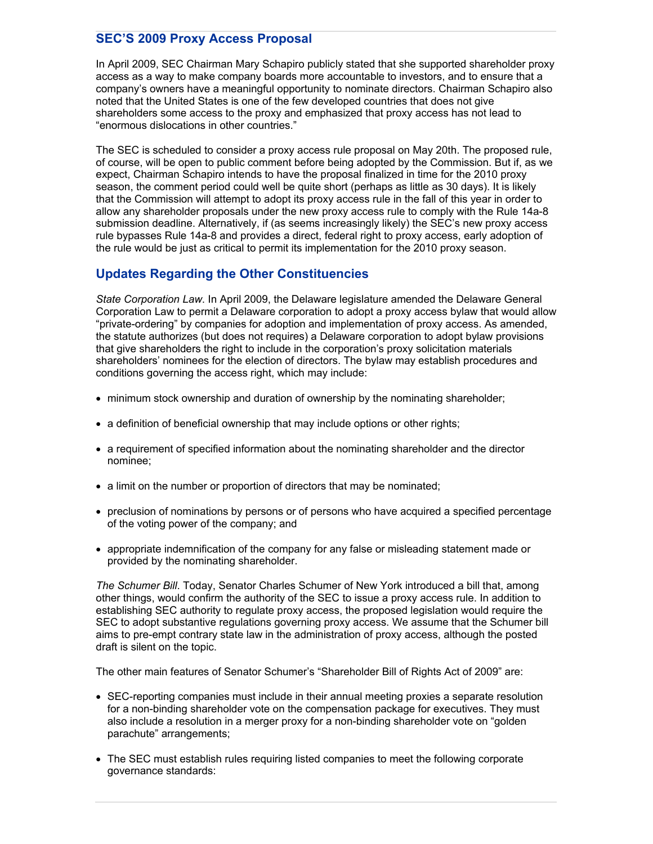## **SEC'S 2009 Proxy Access Proposal**

In April 2009, SEC Chairman Mary Schapiro publicly stated that she supported shareholder proxy access as a way to make company boards more accountable to investors, and to ensure that a company's owners have a meaningful opportunity to nominate directors. Chairman Schapiro also noted that the United States is one of the few developed countries that does not give shareholders some access to the proxy and emphasized that proxy access has not lead to "enormous dislocations in other countries."

The SEC is scheduled to consider a proxy access rule proposal on May 20th. The proposed rule, of course, will be open to public comment before being adopted by the Commission. But if, as we expect, Chairman Schapiro intends to have the proposal finalized in time for the 2010 proxy season, the comment period could well be quite short (perhaps as little as 30 days). It is likely that the Commission will attempt to adopt its proxy access rule in the fall of this year in order to allow any shareholder proposals under the new proxy access rule to comply with the Rule 14a-8 submission deadline. Alternatively, if (as seems increasingly likely) the SEC's new proxy access rule bypasses Rule 14a-8 and provides a direct, federal right to proxy access, early adoption of the rule would be just as critical to permit its implementation for the 2010 proxy season.

## **Updates Regarding the Other Constituencies**

*State Corporation Law*. In April 2009, the Delaware legislature amended the Delaware General Corporation Law to permit a Delaware corporation to adopt a proxy access bylaw that would allow "private-ordering" by companies for adoption and implementation of proxy access. As amended, the statute authorizes (but does not requires) a Delaware corporation to adopt bylaw provisions that give shareholders the right to include in the corporation's proxy solicitation materials shareholders' nominees for the election of directors. The bylaw may establish procedures and conditions governing the access right, which may include:

- minimum stock ownership and duration of ownership by the nominating shareholder;
- a definition of beneficial ownership that may include options or other rights;
- a requirement of specified information about the nominating shareholder and the director nominee;
- a limit on the number or proportion of directors that may be nominated;
- preclusion of nominations by persons or of persons who have acquired a specified percentage of the voting power of the company; and
- appropriate indemnification of the company for any false or misleading statement made or provided by the nominating shareholder.

*The Schumer Bill*. Today, Senator Charles Schumer of New York introduced a bill that, among other things, would confirm the authority of the SEC to issue a proxy access rule. In addition to establishing SEC authority to regulate proxy access, the proposed legislation would require the SEC to adopt substantive regulations governing proxy access. We assume that the Schumer bill aims to pre-empt contrary state law in the administration of proxy access, although the posted draft is silent on the topic.

The other main features of Senator Schumer's "Shareholder Bill of Rights Act of 2009" are:

- SEC-reporting companies must include in their annual meeting proxies a separate resolution for a non-binding shareholder vote on the compensation package for executives. They must also include a resolution in a merger proxy for a non-binding shareholder vote on "golden parachute" arrangements;
- The SEC must establish rules requiring listed companies to meet the following corporate governance standards: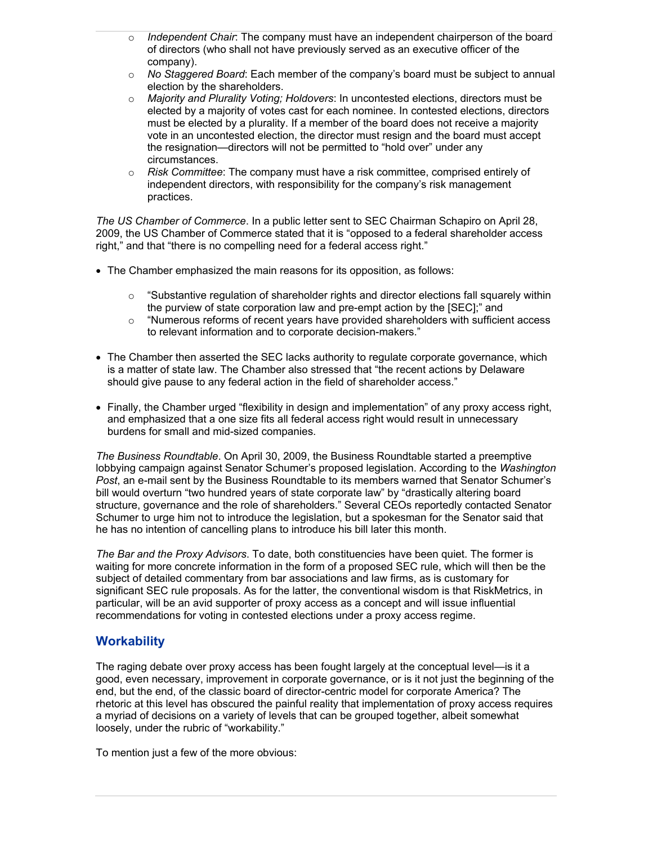- o *Independent Chair*: The company must have an independent chairperson of the board of directors (who shall not have previously served as an executive officer of the company).
- o *No Staggered Board*: Each member of the company's board must be subject to annual election by the shareholders.
- o *Majority and Plurality Voting; Holdovers*: In uncontested elections, directors must be elected by a majority of votes cast for each nominee. In contested elections, directors must be elected by a plurality. If a member of the board does not receive a majority vote in an uncontested election, the director must resign and the board must accept the resignation—directors will not be permitted to "hold over" under any circumstances.
- o *Risk Committee*: The company must have a risk committee, comprised entirely of independent directors, with responsibility for the company's risk management practices.

*The US Chamber of Commerce*. In a public letter sent to SEC Chairman Schapiro on April 28, 2009, the US Chamber of Commerce stated that it is "opposed to a federal shareholder access right," and that "there is no compelling need for a federal access right."

- The Chamber emphasized the main reasons for its opposition, as follows:
	- o "Substantive regulation of shareholder rights and director elections fall squarely within the purview of state corporation law and pre-empt action by the [SEC];" and
	- $\circ$  "Numerous reforms of recent years have provided shareholders with sufficient access to relevant information and to corporate decision-makers."
- The Chamber then asserted the SEC lacks authority to regulate corporate governance, which is a matter of state law. The Chamber also stressed that "the recent actions by Delaware should give pause to any federal action in the field of shareholder access."
- Finally, the Chamber urged "flexibility in design and implementation" of any proxy access right, and emphasized that a one size fits all federal access right would result in unnecessary burdens for small and mid-sized companies.

*The Business Roundtable*. On April 30, 2009, the Business Roundtable started a preemptive lobbying campaign against Senator Schumer's proposed legislation. According to the *Washington Post*, an e-mail sent by the Business Roundtable to its members warned that Senator Schumer's bill would overturn "two hundred years of state corporate law" by "drastically altering board structure, governance and the role of shareholders." Several CEOs reportedly contacted Senator Schumer to urge him not to introduce the legislation, but a spokesman for the Senator said that he has no intention of cancelling plans to introduce his bill later this month.

*The Bar and the Proxy Advisors*. To date, both constituencies have been quiet. The former is waiting for more concrete information in the form of a proposed SEC rule, which will then be the subject of detailed commentary from bar associations and law firms, as is customary for significant SEC rule proposals. As for the latter, the conventional wisdom is that RiskMetrics, in particular, will be an avid supporter of proxy access as a concept and will issue influential recommendations for voting in contested elections under a proxy access regime.

## **Workability**

The raging debate over proxy access has been fought largely at the conceptual level—is it a good, even necessary, improvement in corporate governance, or is it not just the beginning of the end, but the end, of the classic board of director-centric model for corporate America? The rhetoric at this level has obscured the painful reality that implementation of proxy access requires a myriad of decisions on a variety of levels that can be grouped together, albeit somewhat loosely, under the rubric of "workability."

To mention just a few of the more obvious: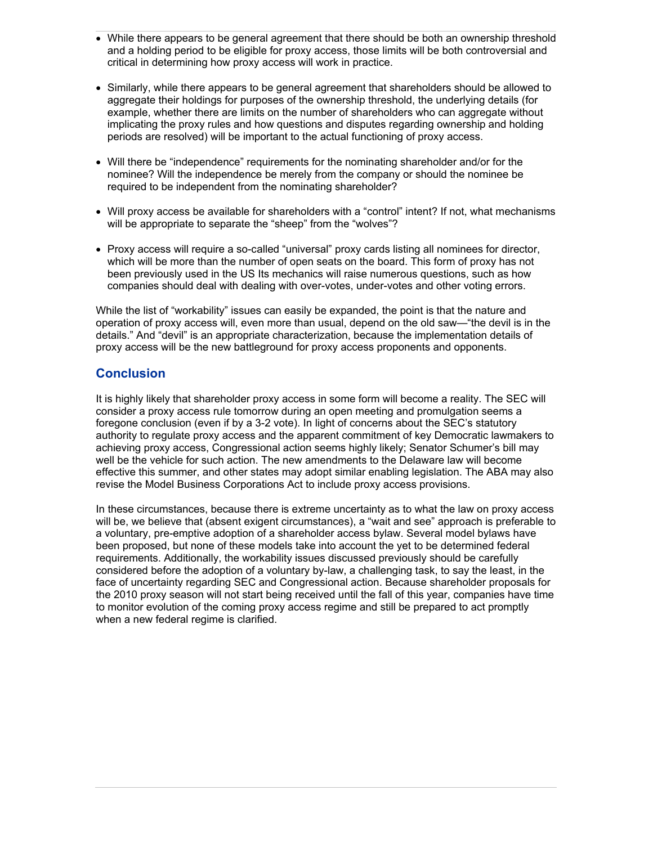- While there appears to be general agreement that there should be both an ownership threshold and a holding period to be eligible for proxy access, those limits will be both controversial and critical in determining how proxy access will work in practice.
- Similarly, while there appears to be general agreement that shareholders should be allowed to aggregate their holdings for purposes of the ownership threshold, the underlying details (for example, whether there are limits on the number of shareholders who can aggregate without implicating the proxy rules and how questions and disputes regarding ownership and holding periods are resolved) will be important to the actual functioning of proxy access.
- Will there be "independence" requirements for the nominating shareholder and/or for the nominee? Will the independence be merely from the company or should the nominee be required to be independent from the nominating shareholder?
- Will proxy access be available for shareholders with a "control" intent? If not, what mechanisms will be appropriate to separate the "sheep" from the "wolves"?
- Proxy access will require a so-called "universal" proxy cards listing all nominees for director, which will be more than the number of open seats on the board. This form of proxy has not been previously used in the US Its mechanics will raise numerous questions, such as how companies should deal with dealing with over-votes, under-votes and other voting errors.

While the list of "workability" issues can easily be expanded, the point is that the nature and operation of proxy access will, even more than usual, depend on the old saw—"the devil is in the details." And "devil" is an appropriate characterization, because the implementation details of proxy access will be the new battleground for proxy access proponents and opponents.

## **Conclusion**

It is highly likely that shareholder proxy access in some form will become a reality. The SEC will consider a proxy access rule tomorrow during an open meeting and promulgation seems a foregone conclusion (even if by a 3-2 vote). In light of concerns about the SEC's statutory authority to regulate proxy access and the apparent commitment of key Democratic lawmakers to achieving proxy access, Congressional action seems highly likely; Senator Schumer's bill may well be the vehicle for such action. The new amendments to the Delaware law will become effective this summer, and other states may adopt similar enabling legislation. The ABA may also revise the Model Business Corporations Act to include proxy access provisions.

In these circumstances, because there is extreme uncertainty as to what the law on proxy access will be, we believe that (absent exigent circumstances), a "wait and see" approach is preferable to a voluntary, pre-emptive adoption of a shareholder access bylaw. Several model bylaws have been proposed, but none of these models take into account the yet to be determined federal requirements. Additionally, the workability issues discussed previously should be carefully considered before the adoption of a voluntary by-law, a challenging task, to say the least, in the face of uncertainty regarding SEC and Congressional action. Because shareholder proposals for the 2010 proxy season will not start being received until the fall of this year, companies have time to monitor evolution of the coming proxy access regime and still be prepared to act promptly when a new federal regime is clarified.